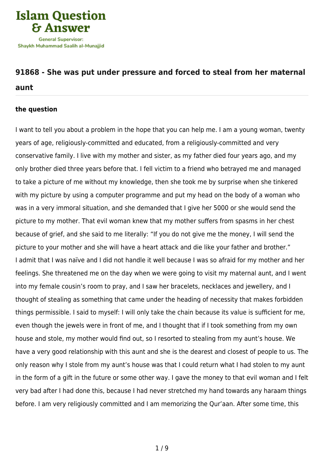

# **[91868 - She was put under pressure and forced to steal from her maternal](https://islamqa.info/en/answers/91868/she-was-put-under-pressure-and-forced-to-steal-from-her-maternal-aunt)**

### **[aunt](https://islamqa.info/en/answers/91868/she-was-put-under-pressure-and-forced-to-steal-from-her-maternal-aunt)**

#### **the question**

I want to tell you about a problem in the hope that you can help me. I am a young woman, twenty years of age, religiously-committed and educated, from a religiously-committed and very conservative family. I live with my mother and sister, as my father died four years ago, and my only brother died three years before that. I fell victim to a friend who betrayed me and managed to take a picture of me without my knowledge, then she took me by surprise when she tinkered with my picture by using a computer programme and put my head on the body of a woman who was in a very immoral situation, and she demanded that I give her 5000 or she would send the picture to my mother. That evil woman knew that my mother suffers from spasms in her chest because of grief, and she said to me literally: "If you do not give me the money, I will send the picture to your mother and she will have a heart attack and die like your father and brother." I admit that I was naïve and I did not handle it well because I was so afraid for my mother and her feelings. She threatened me on the day when we were going to visit my maternal aunt, and I went into my female cousin's room to pray, and I saw her bracelets, necklaces and jewellery, and I thought of stealing as something that came under the heading of necessity that makes forbidden things permissible. I said to myself: I will only take the chain because its value is sufficient for me, even though the jewels were in front of me, and I thought that if I took something from my own house and stole, my mother would find out, so I resorted to stealing from my aunt's house. We have a very good relationship with this aunt and she is the dearest and closest of people to us. The only reason why I stole from my aunt's house was that I could return what I had stolen to my aunt in the form of a gift in the future or some other way. I gave the money to that evil woman and I felt very bad after I had done this, because I had never stretched my hand towards any haraam things before. I am very religiously committed and I am memorizing the Qur'aan. After some time, this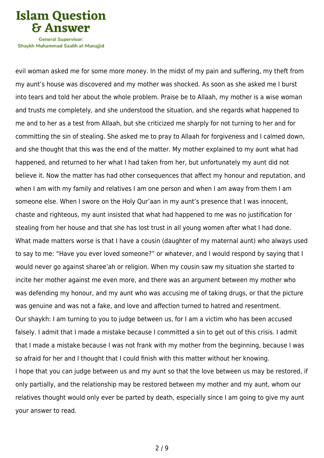**Islam Question General Supervisor:** 

Shavkh Muhammad Saalih al-Munaiiid

evil woman asked me for some more money. In the midst of my pain and suffering, my theft from my aunt's house was discovered and my mother was shocked. As soon as she asked me I burst into tears and told her about the whole problem. Praise be to Allaah, my mother is a wise woman and trusts me completely, and she understood the situation, and she regards what happened to me and to her as a test from Allaah, but she criticized me sharply for not turning to her and for committing the sin of stealing. She asked me to pray to Allaah for forgiveness and I calmed down, and she thought that this was the end of the matter. My mother explained to my aunt what had happened, and returned to her what I had taken from her, but unfortunately my aunt did not believe it. Now the matter has had other consequences that affect my honour and reputation, and when I am with my family and relatives I am one person and when I am away from them I am someone else. When I swore on the Holy Qur'aan in my aunt's presence that I was innocent, chaste and righteous, my aunt insisted that what had happened to me was no justification for stealing from her house and that she has lost trust in all young women after what I had done. What made matters worse is that I have a cousin (daughter of my maternal aunt) who always used to say to me: "Have you ever loved someone?" or whatever, and I would respond by saying that I would never go against sharee'ah or religion. When my cousin saw my situation she started to incite her mother against me even more, and there was an argument between my mother who was defending my honour, and my aunt who was accusing me of taking drugs, or that the picture was genuine and was not a fake, and love and affection turned to hatred and resentment. Our shaykh: I am turning to you to judge between us, for I am a victim who has been accused falsely. I admit that I made a mistake because I committed a sin to get out of this crisis. I admit that I made a mistake because I was not frank with my mother from the beginning, because I was so afraid for her and I thought that I could finish with this matter without her knowing. I hope that you can judge between us and my aunt so that the love between us may be restored, if only partially, and the relationship may be restored between my mother and my aunt, whom our relatives thought would only ever be parted by death, especially since I am going to give my aunt your answer to read.

2 / 9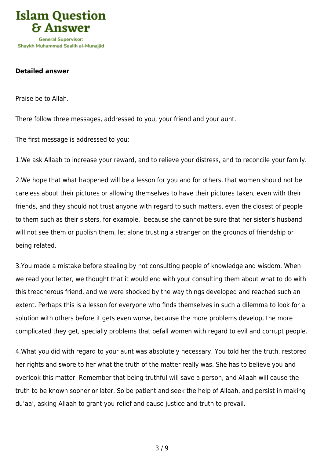

#### **Detailed answer**

Praise be to Allah.

There follow three messages, addressed to you, your friend and your aunt.

The first message is addressed to you:

1.We ask Allaah to increase your reward, and to relieve your distress, and to reconcile your family.

2.We hope that what happened will be a lesson for you and for others, that women should not be careless about their pictures or allowing themselves to have their pictures taken, even with their friends, and they should not trust anyone with regard to such matters, even the closest of people to them such as their sisters, for example, because she cannot be sure that her sister's husband will not see them or publish them, let alone trusting a stranger on the grounds of friendship or being related.

3.You made a mistake before stealing by not consulting people of knowledge and wisdom. When we read your letter, we thought that it would end with your consulting them about what to do with this treacherous friend, and we were shocked by the way things developed and reached such an extent. Perhaps this is a lesson for everyone who finds themselves in such a dilemma to look for a solution with others before it gets even worse, because the more problems develop, the more complicated they get, specially problems that befall women with regard to evil and corrupt people.

4.What you did with regard to your aunt was absolutely necessary. You told her the truth, restored her rights and swore to her what the truth of the matter really was. She has to believe you and overlook this matter. Remember that being truthful will save a person, and Allaah will cause the truth to be known sooner or later. So be patient and seek the help of Allaah, and persist in making du'aa', asking Allaah to grant you relief and cause justice and truth to prevail.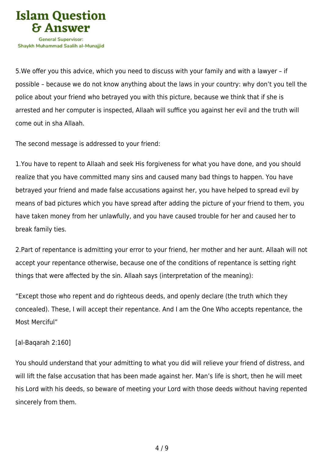

5.We offer you this advice, which you need to discuss with your family and with a lawyer – if possible – because we do not know anything about the laws in your country: why don't you tell the police about your friend who betrayed you with this picture, because we think that if she is arrested and her computer is inspected, Allaah will suffice you against her evil and the truth will come out in sha Allaah.

The second message is addressed to your friend:

1.You have to repent to Allaah and seek His forgiveness for what you have done, and you should realize that you have committed many sins and caused many bad things to happen. You have betrayed your friend and made false accusations against her, you have helped to spread evil by means of bad pictures which you have spread after adding the picture of your friend to them, you have taken money from her unlawfully, and you have caused trouble for her and caused her to break family ties.

2.Part of repentance is admitting your error to your friend, her mother and her aunt. Allaah will not accept your repentance otherwise, because one of the conditions of repentance is setting right things that were affected by the sin. Allaah says (interpretation of the meaning):

"Except those who repent and do righteous deeds, and openly declare (the truth which they concealed). These, I will accept their repentance. And I am the One Who accepts repentance, the Most Merciful"

## [al-Baqarah 2:160]

You should understand that your admitting to what you did will relieve your friend of distress, and will lift the false accusation that has been made against her. Man's life is short, then he will meet his Lord with his deeds, so beware of meeting your Lord with those deeds without having repented sincerely from them.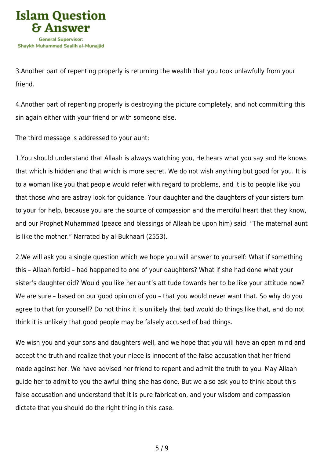

3.Another part of repenting properly is returning the wealth that you took unlawfully from your friend.

4.Another part of repenting properly is destroying the picture completely, and not committing this sin again either with your friend or with someone else.

The third message is addressed to your aunt:

1.You should understand that Allaah is always watching you, He hears what you say and He knows that which is hidden and that which is more secret. We do not wish anything but good for you. It is to a woman like you that people would refer with regard to problems, and it is to people like you that those who are astray look for guidance. Your daughter and the daughters of your sisters turn to your for help, because you are the source of compassion and the merciful heart that they know, and our Prophet Muhammad (peace and blessings of Allaah be upon him) said: "The maternal aunt is like the mother." Narrated by al-Bukhaari (2553).

2.We will ask you a single question which we hope you will answer to yourself: What if something this – Allaah forbid – had happened to one of your daughters? What if she had done what your sister's daughter did? Would you like her aunt's attitude towards her to be like your attitude now? We are sure – based on our good opinion of you – that you would never want that. So why do you agree to that for yourself? Do not think it is unlikely that bad would do things like that, and do not think it is unlikely that good people may be falsely accused of bad things.

We wish you and your sons and daughters well, and we hope that you will have an open mind and accept the truth and realize that your niece is innocent of the false accusation that her friend made against her. We have advised her friend to repent and admit the truth to you. May Allaah guide her to admit to you the awful thing she has done. But we also ask you to think about this false accusation and understand that it is pure fabrication, and your wisdom and compassion dictate that you should do the right thing in this case.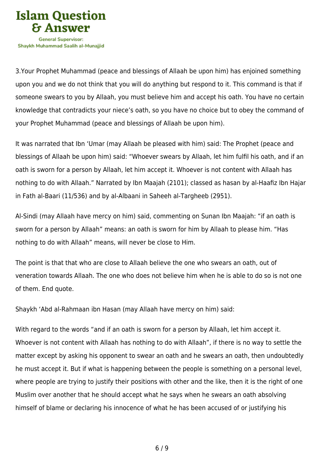

3.Your Prophet Muhammad (peace and blessings of Allaah be upon him) has enjoined something upon you and we do not think that you will do anything but respond to it. This command is that if someone swears to you by Allaah, you must believe him and accept his oath. You have no certain knowledge that contradicts your niece's oath, so you have no choice but to obey the command of your Prophet Muhammad (peace and blessings of Allaah be upon him).

It was narrated that Ibn 'Umar (may Allaah be pleased with him) said: The Prophet (peace and blessings of Allaah be upon him) said: "Whoever swears by Allaah, let him fulfil his oath, and if an oath is sworn for a person by Allaah, let him accept it. Whoever is not content with Allaah has nothing to do with Allaah." Narrated by Ibn Maajah (2101); classed as hasan by al-Haafiz Ibn Hajar in Fath al-Baari (11/536) and by al-Albaani in Saheeh al-Targheeb (2951).

Al-Sindi (may Allaah have mercy on him) said, commenting on Sunan Ibn Maajah: "if an oath is sworn for a person by Allaah" means: an oath is sworn for him by Allaah to please him. "Has nothing to do with Allaah" means, will never be close to Him.

The point is that that who are close to Allaah believe the one who swears an oath, out of veneration towards Allaah. The one who does not believe him when he is able to do so is not one of them. End quote.

Shaykh 'Abd al-Rahmaan ibn Hasan (may Allaah have mercy on him) said:

With regard to the words "and if an oath is sworn for a person by Allaah, let him accept it. Whoever is not content with Allaah has nothing to do with Allaah", if there is no way to settle the matter except by asking his opponent to swear an oath and he swears an oath, then undoubtedly he must accept it. But if what is happening between the people is something on a personal level, where people are trying to justify their positions with other and the like, then it is the right of one Muslim over another that he should accept what he says when he swears an oath absolving himself of blame or declaring his innocence of what he has been accused of or justifying his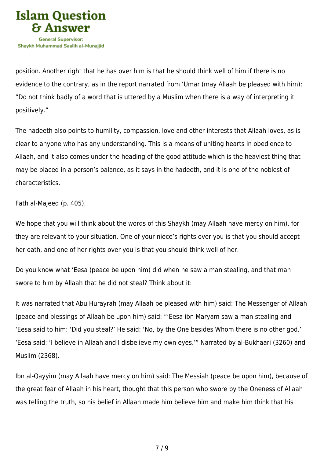

position. Another right that he has over him is that he should think well of him if there is no evidence to the contrary, as in the report narrated from 'Umar (may Allaah be pleased with him): "Do not think badly of a word that is uttered by a Muslim when there is a way of interpreting it positively."

The hadeeth also points to humility, compassion, love and other interests that Allaah loves, as is clear to anyone who has any understanding. This is a means of uniting hearts in obedience to Allaah, and it also comes under the heading of the good attitude which is the heaviest thing that may be placed in a person's balance, as it says in the hadeeth, and it is one of the noblest of characteristics.

Fath al-Majeed (p. 405).

We hope that you will think about the words of this Shaykh (may Allaah have mercy on him), for they are relevant to your situation. One of your niece's rights over you is that you should accept her oath, and one of her rights over you is that you should think well of her.

Do you know what 'Eesa (peace be upon him) did when he saw a man stealing, and that man swore to him by Allaah that he did not steal? Think about it:

It was narrated that Abu Hurayrah (may Allaah be pleased with him) said: The Messenger of Allaah (peace and blessings of Allaah be upon him) said: "'Eesa ibn Maryam saw a man stealing and 'Eesa said to him: 'Did you steal?' He said: 'No, by the One besides Whom there is no other god.' 'Eesa said: 'I believe in Allaah and I disbelieve my own eyes.'" Narrated by al-Bukhaari (3260) and Muslim (2368).

Ibn al-Qayyim (may Allaah have mercy on him) said: The Messiah (peace be upon him), because of the great fear of Allaah in his heart, thought that this person who swore by the Oneness of Allaah was telling the truth, so his belief in Allaah made him believe him and make him think that his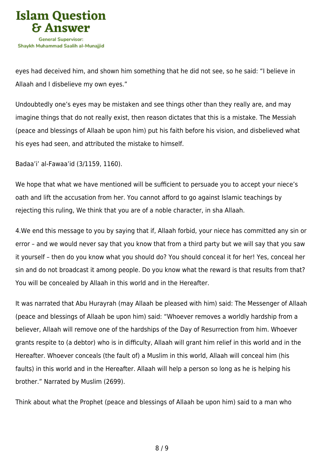

eyes had deceived him, and shown him something that he did not see, so he said: "I believe in Allaah and I disbelieve my own eyes."

Undoubtedly one's eyes may be mistaken and see things other than they really are, and may imagine things that do not really exist, then reason dictates that this is a mistake. The Messiah (peace and blessings of Allaah be upon him) put his faith before his vision, and disbelieved what his eyes had seen, and attributed the mistake to himself.

Badaa'i' al-Fawaa'id (3/1159, 1160).

We hope that what we have mentioned will be sufficient to persuade you to accept your niece's oath and lift the accusation from her. You cannot afford to go against Islamic teachings by rejecting this ruling, We think that you are of a noble character, in sha Allaah.

4.We end this message to you by saying that if, Allaah forbid, your niece has committed any sin or error – and we would never say that you know that from a third party but we will say that you saw it yourself – then do you know what you should do? You should conceal it for her! Yes, conceal her sin and do not broadcast it among people. Do you know what the reward is that results from that? You will be concealed by Allaah in this world and in the Hereafter.

It was narrated that Abu Hurayrah (may Allaah be pleased with him) said: The Messenger of Allaah (peace and blessings of Allaah be upon him) said: "Whoever removes a worldly hardship from a believer, Allaah will remove one of the hardships of the Day of Resurrection from him. Whoever grants respite to (a debtor) who is in difficulty, Allaah will grant him relief in this world and in the Hereafter. Whoever conceals (the fault of) a Muslim in this world, Allaah will conceal him (his faults) in this world and in the Hereafter. Allaah will help a person so long as he is helping his brother." Narrated by Muslim (2699).

Think about what the Prophet (peace and blessings of Allaah be upon him) said to a man who